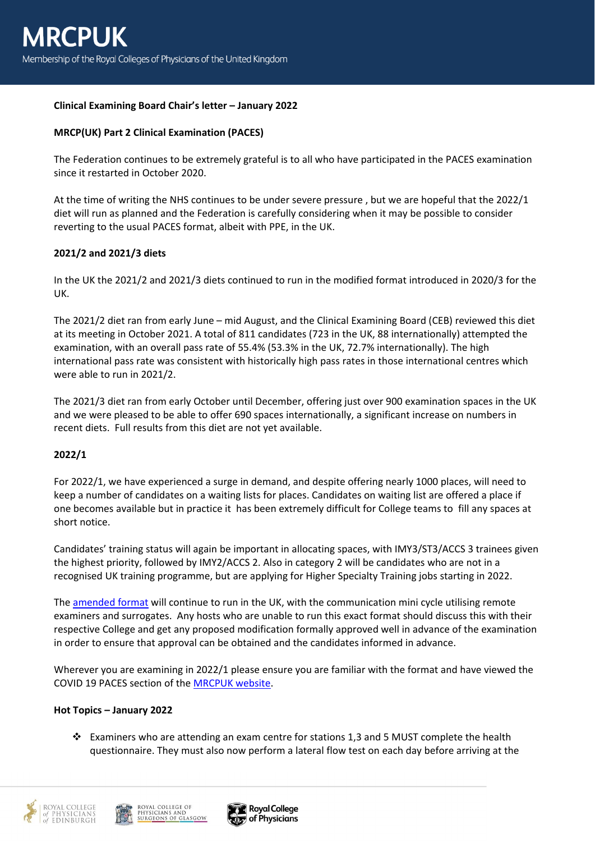# **Clinical Examining Board Chair's letter – January 2022**

### **MRCP(UK) Part 2 Clinical Examination (PACES)**

The Federation continues to be extremely grateful is to all who have participated in the PACES examination since it restarted in October 2020.

At the time of writing the NHS continues to be under severe pressure , but we are hopeful that the 2022/1 diet will run as planned and the Federation is carefully considering when it may be possible to consider reverting to the usual PACES format, albeit with PPE, in the UK.

### **2021/2 and 2021/3 diets**

In the UK the 2021/2 and 2021/3 diets continued to run in the modified format introduced in 2020/3 for the UK.

The 2021/2 diet ran from early June – mid August, and the Clinical Examining Board (CEB) reviewed this diet at its meeting in October 2021. A total of 811 candidates (723 in the UK, 88 internationally) attempted the examination, with an overall pass rate of 55.4% (53.3% in the UK, 72.7% internationally). The high international pass rate was consistent with historically high pass rates in those international centres which were able to run in 2021/2.

The 2021/3 diet ran from early October until December, offering just over 900 examination spaces in the UK and we were pleased to be able to offer 690 spaces internationally, a significant increase on numbers in recent diets. Full results from this diet are not yet available.

# **2022/1**

For 2022/1, we have experienced a surge in demand, and despite offering nearly 1000 places, will need to keep a number of candidates on a waiting lists for places. Candidates on waiting list are offered a place if one becomes available but in practice it has been extremely difficult for College teams to fill any spaces at short notice.

Candidates' training status will again be important in allocating spaces, with IMY3/ST3/ACCS 3 trainees given the highest priority, followed by IMY2/ACCS 2. Also in category 2 will be candidates who are not in a recognised UK training programme, but are applying for Higher Specialty Training jobs starting in 2022.

The [amended format](https://www.mrcpuk.org/mrcpuk-examinations/paces/uk-paces-covid-19) will continue to run in the UK, with the communication mini cycle utilising remote examiners and surrogates. Any hosts who are unable to run this exact format should discuss this with their respective College and get any proposed modification formally approved well in advance of the examination in order to ensure that approval can be obtained and the candidates informed in advance.

Wherever you are examining in 2022/1 please ensure you are familiar with the format and have viewed the COVID 19 PACES section of th[e MRCPUK website.](https://www.mrcpuk.org/mrcpuk-examinations/paces/uk-paces-covid-19)

#### **Hot Topics – January 2022**

❖ Examiners who are attending an exam centre for stations 1,3 and 5 MUST complete the health questionnaire. They must also now perform a lateral flow test on each day before arriving at the





**Royal College** of Physicians